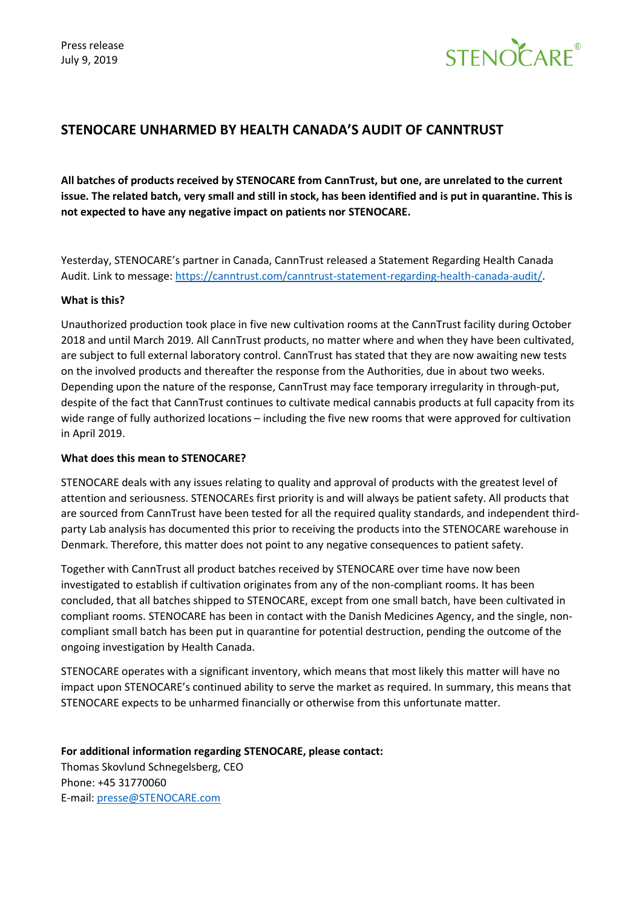

## **STENOCARE UNHARMED BY HEALTH CANADA'S AUDIT OF CANNTRUST**

**All batches of products received by STENOCARE from CannTrust, but one, are unrelated to the current issue. The related batch, very small and still in stock, has been identified and is put in quarantine. This is not expected to have any negative impact on patients nor STENOCARE.** 

Yesterday, STENOCARE's partner in Canada, CannTrust released a Statement Regarding Health Canada Audit. Link to message[: https://canntrust.com/canntrust-statement-regarding-health-canada-audit/.](https://canntrust.com/canntrust-statement-regarding-health-canada-audit/)

## **What is this?**

Unauthorized production took place in five new cultivation rooms at the CannTrust facility during October 2018 and until March 2019. All CannTrust products, no matter where and when they have been cultivated, are subject to full external laboratory control. CannTrust has stated that they are now awaiting new tests on the involved products and thereafter the response from the Authorities, due in about two weeks. Depending upon the nature of the response, CannTrust may face temporary irregularity in through-put, despite of the fact that CannTrust continues to cultivate medical cannabis products at full capacity from its wide range of fully authorized locations – including the five new rooms that were approved for cultivation in April 2019.

## **What does this mean to STENOCARE?**

STENOCARE deals with any issues relating to quality and approval of products with the greatest level of attention and seriousness. STENOCAREs first priority is and will always be patient safety. All products that are sourced from CannTrust have been tested for all the required quality standards, and independent thirdparty Lab analysis has documented this prior to receiving the products into the STENOCARE warehouse in Denmark. Therefore, this matter does not point to any negative consequences to patient safety.

Together with CannTrust all product batches received by STENOCARE over time have now been investigated to establish if cultivation originates from any of the non-compliant rooms. It has been concluded, that all batches shipped to STENOCARE, except from one small batch, have been cultivated in compliant rooms. STENOCARE has been in contact with the Danish Medicines Agency, and the single, noncompliant small batch has been put in quarantine for potential destruction, pending the outcome of the ongoing investigation by Health Canada.

STENOCARE operates with a significant inventory, which means that most likely this matter will have no impact upon STENOCARE's continued ability to serve the market as required. In summary, this means that STENOCARE expects to be unharmed financially or otherwise from this unfortunate matter.

**For additional information regarding STENOCARE, please contact:**  Thomas Skovlund Schnegelsberg, CEO Phone: +45 31770060 E-mail: [presse@STENOCARE.com](mailto:presse@stenocare.com)